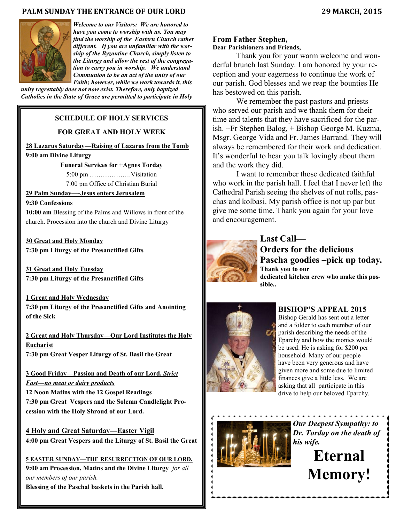## **PALM SUNDAY THE ENTRANCE OF OUR LORD 29 MARCH, 2015**



*Welcome to our Visitors: We are honored to have you come to worship with us. You may find the worship of the Eastern Church rather different. If you are unfamiliar with the worship of the Byzantine Church, simply listen to the Liturgy and allow the rest of the congregation to carry you in worship. We understand Communion to be an act of the unity of our Faith; however, while we work towards it, this* 

*unity regrettably does not now exist. Therefore, only baptized Catholics in the State of Grace are permitted to participate in Holy* 

## **SCHEDULE OF HOLY SERVICES**

## **FOR GREAT AND HOLY WEEK**

**28 Lazarus Saturday—Raising of Lazarus from the Tomb 9:00 am Divine Liturgy**

**Funeral Services for +Agnes Torday**

5:00 pm ……………….Visitation

7:00 pm Office of Christian Burial

# **29 Palm Sunday—-Jesus enters Jerusalem**

## **9:30 Confessions**

**10:00 am** Blessing of the Palms and Willows in front of the church. Procession into the church and Divine Liturgy

**30 Great and Holy Monday 7:30 pm Liturgy of the Presanctified Gifts**

**31 Great and Holy Tuesday 7:30 pm Liturgy of the Presanctified Gifts**

**1 Great and Holy Wednesday** 

**7:30 pm Liturgy of the Presanctified Gifts and Anointing of the Sick**

**2 Great and Holy Thursday—Our Lord Institutes the Holy Eucharist 7:30 pm Great Vesper Liturgy of St. Basil the Great**

**3 Good Friday—Passion and Death of our Lord.** *Strict Fast—no meat or dairy products*

**12 Noon Matins with the 12 Gospel Readings 7:30 pm Great Vespers and the Solemn Candlelight Procession with the Holy Shroud of our Lord.**

**4 Holy and Great Saturday—Easter Vigil 4:00 pm Great Vespers and the Liturgy of St. Basil the Great**

**5 EASTER SUNDAY—THE RESURRECTION OF OUR LORD. 9:00 am Procession, Matins and the Divine Liturgy** *for all our members of our parish.*

**Blessing of the Paschal baskets in the Parish hall.**

# **From Father Stephen,**

# **Dear Parishioners and Friends,**

Thank you for your warm welcome and wonderful brunch last Sunday. I am honored by your reception and your eagerness to continue the work of our parish. God blesses and we reap the bounties He has bestowed on this parish.

We remember the past pastors and priests who served our parish and we thank them for their time and talents that they have sacrificed for the parish. +Fr Stephen Balog, + Bishop George M. Kuzma, Msgr. George Vida and Fr. James Barrand. They will always be remembered for their work and dedication. It's wonderful to hear you talk lovingly about them and the work they did.

I want to remember those dedicated faithful who work in the parish hall. I feel that I never left the Cathedral Parish seeing the shelves of nut rolls, paschas and kolbasi. My parish office is not up par but give me some time. Thank you again for your love and encouragement.



# **Last Call— Orders for the delicious Pascha goodies –pick up today. Thank you to our dedicated kitchen crew who make this possible..**



# **BISHOP'S APPEAL 2015**

Bishop Gerald has sent out a letter and a folder to each member of our parish describing the needs of the Eparchy and how the monies would be used. He is asking for \$200 per household. Many of our people have been very generous and have given more and some due to limited finances give a little less. We are asking that all participate in this drive to help our beloved Eparchy.



*Our Deepest Sympathy: to Dr. Torday on the death of his wife.* 

> **Eternal Memory!**